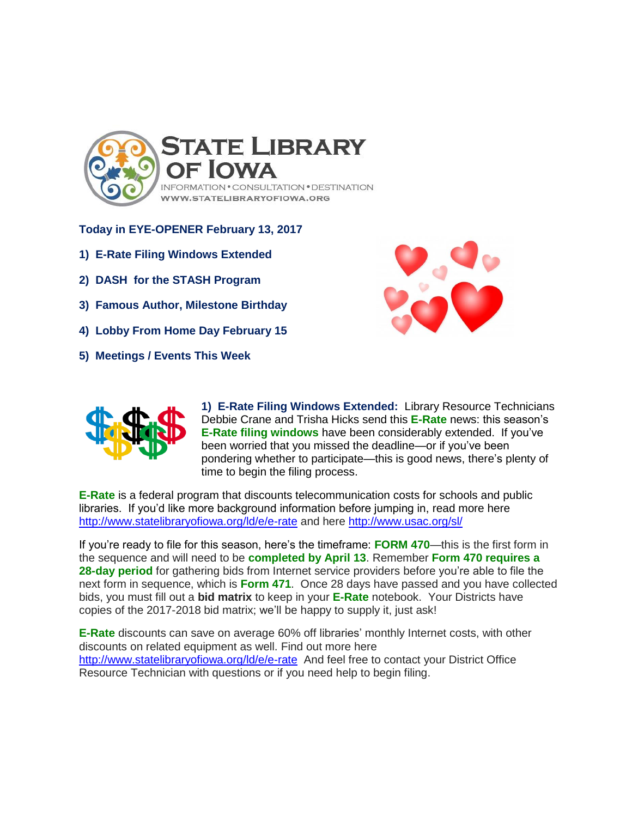

**Today in EYE-OPENER February 13, 2017**

- **1) E-Rate Filing Windows Extended**
- **2) DASH for the STASH Program**
- **3) Famous Author, Milestone Birthday**
- **4) Lobby From Home Day February 15**
- **5) Meetings / Events This Week**





**1) E-Rate Filing Windows Extended:** Library Resource Technicians Debbie Crane and Trisha Hicks send this **E-Rate** news: this season's **E-Rate filing windows** have been considerably extended. If you've been worried that you missed the deadline—or if you've been pondering whether to participate—this is good news, there's plenty of time to begin the filing process.

**E-Rate** is a federal program that discounts telecommunication costs for schools and public libraries. If you'd like more background information before jumping in, read more here <http://www.statelibraryofiowa.org/ld/e/e-rate> and here<http://www.usac.org/sl/>

If you're ready to file for this season, here's the timeframe: **FORM 470**—this is the first form in the sequence and will need to be **completed by April 13**. Remember **Form 470 requires a 28-day period** for gathering bids from Internet service providers before you're able to file the next form in sequence, which is **Form 471**. Once 28 days have passed and you have collected bids, you must fill out a **bid matrix** to keep in your **E-Rate** notebook. Your Districts have copies of the 2017-2018 bid matrix; we'll be happy to supply it, just ask!

**E-Rate** discounts can save on average 60% off libraries' monthly Internet costs, with other discounts on related equipment as well. Find out more here <http://www.statelibraryofiowa.org/ld/e/e-rate>And feel free to contact your District Office Resource Technician with questions or if you need help to begin filing.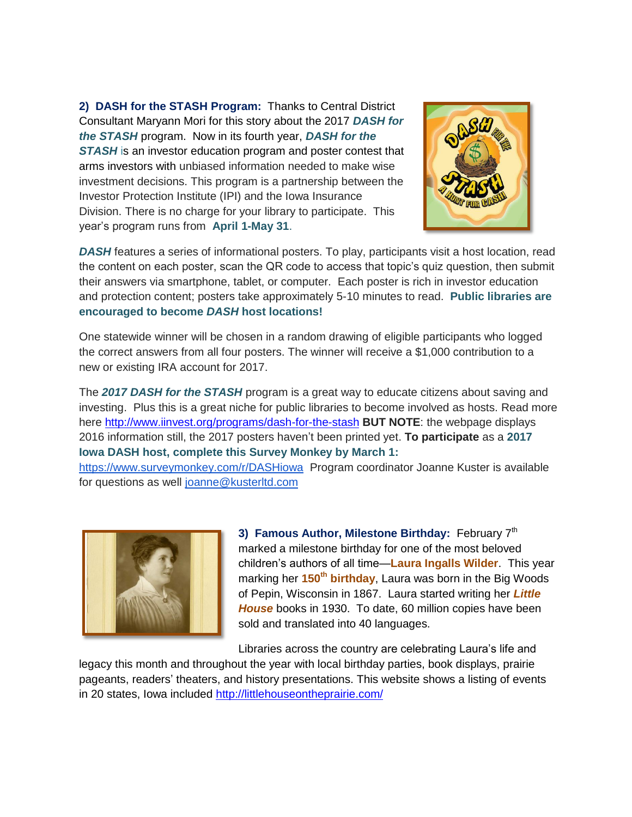**2) DASH for the STASH Program:** Thanks to Central District Consultant Maryann Mori for this story about the 2017 *DASH for the STASH* program. Now in its fourth year, *DASH for the STASH* is an investor education program and poster contest that arms investors with unbiased information needed to make wise investment decisions. This program is a partnership between the Investor Protection Institute (IPI) and the Iowa Insurance Division. There is no charge for your library to participate. This year's program runs from **April 1-May 31**.



*DASH* features a series of informational posters. To play, participants visit a host location, read the content on each poster, scan the QR code to access that topic's quiz question, then submit their answers via smartphone, tablet, or computer. Each poster is rich in investor education and protection content; posters take approximately 5-10 minutes to read. **Public libraries are encouraged to become** *DASH* **host locations!**

One statewide winner will be chosen in a random drawing of eligible participants who logged the correct answers from all four posters. The winner will receive a \$1,000 contribution to a new or existing IRA account for 2017.

The *2017 DASH for the STASH* program is a great way to educate citizens about saving and investing. Plus this is a great niche for public libraries to become involved as hosts. Read more here<http://www.iinvest.org/programs/dash-for-the-stash> **BUT NOTE**: the webpage displays 2016 information still, the 2017 posters haven't been printed yet. **To participate** as a **2017 Iowa DASH host, complete this Survey Monkey by March 1:**  <https://www.surveymonkey.com/r/DASHiowa>Program coordinator Joanne Kuster is available

for questions as well [joanne@kusterltd.com](mailto:joanne@kusterltd.com)

![](_page_1_Picture_6.jpeg)

**3) Famous Author, Milestone Birthday: February 7th** marked a milestone birthday for one of the most beloved children's authors of all time—**Laura Ingalls Wilder**. This year marking her **150th birthday**, Laura was born in the Big Woods of Pepin, Wisconsin in 1867. Laura started writing her *Little House* books in 1930. To date, 60 million copies have been sold and translated into 40 languages.

Libraries across the country are celebrating Laura's life and

legacy this month and throughout the year with local birthday parties, book displays, prairie pageants, readers' theaters, and history presentations. This website shows a listing of events in 20 states, Iowa included<http://littlehouseontheprairie.com/>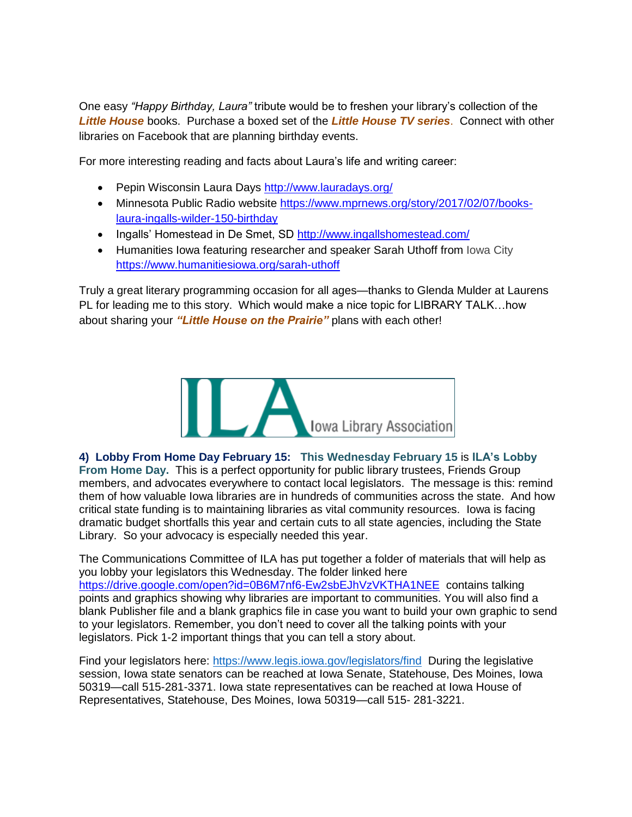One easy *"Happy Birthday, Laura"* tribute would be to freshen your library's collection of the *Little House* books. Purchase a boxed set of the *Little House TV series*. Connect with other libraries on Facebook that are planning birthday events.

For more interesting reading and facts about Laura's life and writing career:

- Pepin Wisconsin Laura Days<http://www.lauradays.org/>
- Minnesota Public Radio website [https://www.mprnews.org/story/2017/02/07/books](https://www.mprnews.org/story/2017/02/07/books-laura-ingalls-wilder-150-birthday)[laura-ingalls-wilder-150-birthday](https://www.mprnews.org/story/2017/02/07/books-laura-ingalls-wilder-150-birthday)
- Ingalls' Homestead in De Smet, SD<http://www.ingallshomestead.com/>
- Humanities Iowa featuring researcher and speaker Sarah Uthoff from Iowa City <https://www.humanitiesiowa.org/sarah-uthoff>

Truly a great literary programming occasion for all ages—thanks to Glenda Mulder at Laurens PL for leading me to this story. Which would make a nice topic for LIBRARY TALK…how about sharing your *"Little House on the Prairie"* plans with each other!

![](_page_2_Picture_7.jpeg)

**4) Lobby From Home Day February 15: This Wednesday February 15** is **ILA's Lobby From Home Day.** This is a perfect opportunity for public library trustees, Friends Group members, and advocates everywhere to contact local legislators. The message is this: remind them of how valuable Iowa libraries are in hundreds of communities across the state. And how critical state funding is to maintaining libraries as vital community resources. Iowa is facing dramatic budget shortfalls this year and certain cuts to all state agencies, including the State Library. So your advocacy is especially needed this year.

The Communications Committee of ILA has put together a folder of materials that will help as you lobby your legislators this Wednesday. The folder linked here <https://drive.google.com/open?id=0B6M7nf6-Ew2sbEJhVzVKTHA1NEE> contains talking points and graphics showing why libraries are important to communities. You will also find a blank Publisher file and a blank graphics file in case you want to build your own graphic to send to your legislators. Remember, you don't need to cover all the talking points with your legislators. Pick 1-2 important things that you can tell a story about.

Find your legislators here:<https://www.legis.iowa.gov/legislators/find>During the legislative session, Iowa state senators can be reached at Iowa Senate, Statehouse, Des Moines, Iowa 50319—call 515-281-3371. Iowa state representatives can be reached at Iowa House of Representatives, Statehouse, Des Moines, Iowa 50319—call 515- 281-3221.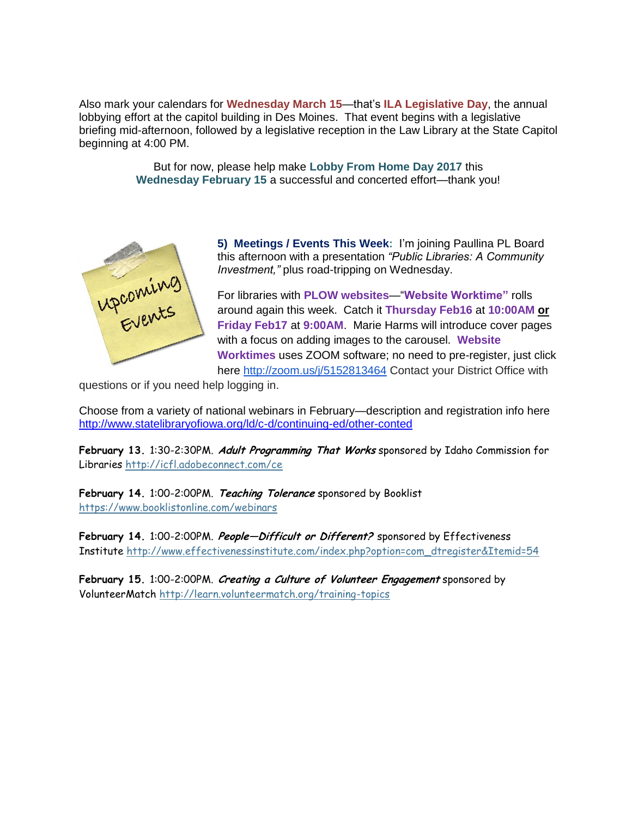Also mark your calendars for **Wednesday March 15**—that's **ILA Legislative Day**, the annual lobbying effort at the capitol building in Des Moines. That event begins with a legislative briefing mid-afternoon, followed by a legislative reception in the Law Library at the State Capitol beginning at 4:00 PM.

> But for now, please help make **Lobby From Home Day 2017** this **Wednesday February 15** a successful and concerted effort—thank you!

![](_page_3_Picture_2.jpeg)

**5) Meetings / Events This Week:** I'm joining Paullina PL Board this afternoon with a presentation *"Public Libraries: A Community Investment,"* plus road-tripping on Wednesday.

For libraries with **PLOW websites**—"**Website Worktime"** rolls around again this week. Catch it **Thursday Feb16** at **10:00AM or Friday Feb17** at **9:00AM**. Marie Harms will introduce cover pages with a focus on adding images to the carousel. **Website Worktimes** uses ZOOM software; no need to pre-register, just click here<http://zoom.us/j/5152813464> Contact your District Office with

questions or if you need help logging in.

Choose from a variety of national webinars in February—description and registration info here <http://www.statelibraryofiowa.org/ld/c-d/continuing-ed/other-conted>

**February 13.** 1:30-2:30PM. **Adult Programming That Works** sponsored by Idaho Commission for Libraries <http://icfl.adobeconnect.com/ce>

**February 14.** 1:00-2:00PM. **Teaching Tolerance** sponsored by Booklist <https://www.booklistonline.com/webinars>

**February 14.** 1:00-2:00PM. **People—Difficult or Different?** sponsored by Effectiveness Institute [http://www.effectivenessinstitute.com/index.php?option=com\\_dtregister&Itemid=54](http://www.effectivenessinstitute.com/index.php?option=com_dtregister&Itemid=54)

**February 15.** 1:00-2:00PM. **Creating a Culture of Volunteer Engagement** sponsored by VolunteerMatch <http://learn.volunteermatch.org/training-topics>